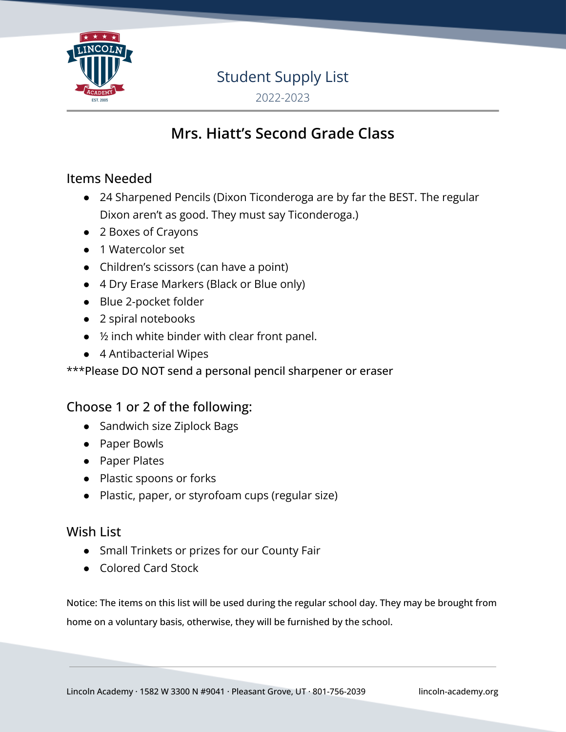

# Student Supply List

2022-2023

# **Mrs. Hiatt's Second Grade Class**

## Items Needed

- 24 Sharpened Pencils (Dixon Ticonderoga are by far the BEST. The regular Dixon aren't as good. They must say Ticonderoga.)
- 2 Boxes of Crayons
- 1 Watercolor set
- Children's scissors (can have a point)
- 4 Dry Erase Markers (Black or Blue only)
- Blue 2-pocket folder
- 2 spiral notebooks
- ½ inch white binder with clear front panel.
- 4 Antibacterial Wipes

#### \*\*\*Please DO NOT send a personal pencil sharpener or eraser

## Choose 1 or 2 of the following:

- Sandwich size Ziplock Bags
- Paper Bowls
- Paper Plates
- Plastic spoons or forks
- Plastic, paper, or styrofoam cups (regular size)

## Wish List

- Small Trinkets or prizes for our County Fair
- Colored Card Stock

Notice: The items on this list will be used during the regular school day. They may be brought from home on a voluntary basis, otherwise, they will be furnished by the school.